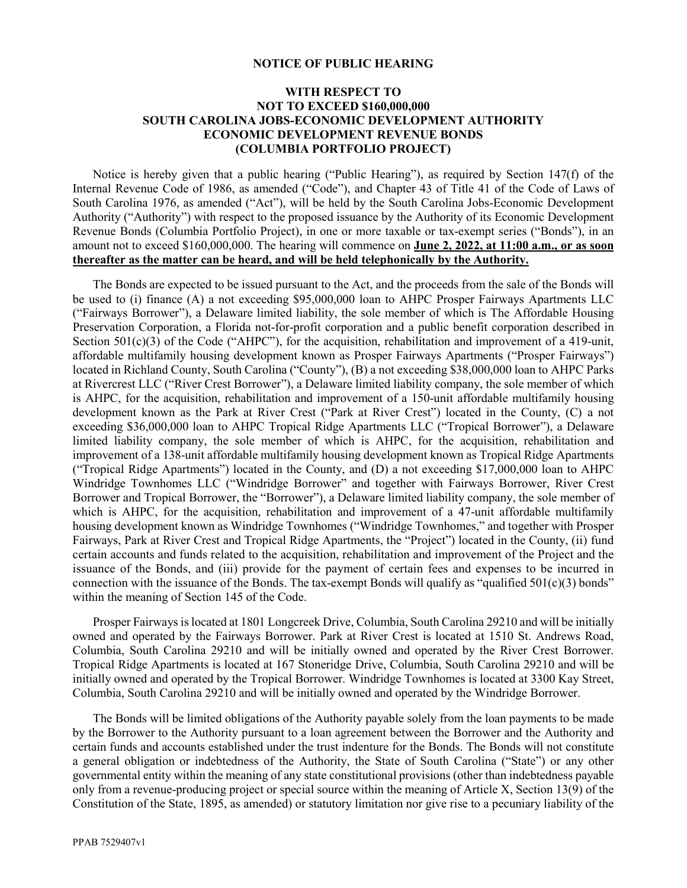## **NOTICE OF PUBLIC HEARING**

## **WITH RESPECT TO NOT TO EXCEED \$160,000,000 SOUTH CAROLINA JOBS-ECONOMIC DEVELOPMENT AUTHORITY ECONOMIC DEVELOPMENT REVENUE BONDS (COLUMBIA PORTFOLIO PROJECT)**

Notice is hereby given that a public hearing ("Public Hearing"), as required by Section 147(f) of the Internal Revenue Code of 1986, as amended ("Code"), and Chapter 43 of Title 41 of the Code of Laws of South Carolina 1976, as amended ("Act"), will be held by the South Carolina Jobs-Economic Development Authority ("Authority") with respect to the proposed issuance by the Authority of its Economic Development Revenue Bonds (Columbia Portfolio Project), in one or more taxable or tax-exempt series ("Bonds"), in an amount not to exceed \$160,000,000. The hearing will commence on **June 2, 2022, at 11:00 a.m., or as soon thereafter as the matter can be heard, and will be held telephonically by the Authority.**

The Bonds are expected to be issued pursuant to the Act, and the proceeds from the sale of the Bonds will be used to (i) finance (A) a not exceeding \$95,000,000 loan to AHPC Prosper Fairways Apartments LLC ("Fairways Borrower"), a Delaware limited liability, the sole member of which is The Affordable Housing Preservation Corporation, a Florida not-for-profit corporation and a public benefit corporation described in Section 501(c)(3) of the Code ("AHPC"), for the acquisition, rehabilitation and improvement of a 419-unit, affordable multifamily housing development known as Prosper Fairways Apartments ("Prosper Fairways") located in Richland County, South Carolina ("County"), (B) a not exceeding \$38,000,000 loan to AHPC Parks at Rivercrest LLC ("River Crest Borrower"), a Delaware limited liability company, the sole member of which is AHPC, for the acquisition, rehabilitation and improvement of a 150-unit affordable multifamily housing development known as the Park at River Crest ("Park at River Crest") located in the County, (C) a not exceeding \$36,000,000 loan to AHPC Tropical Ridge Apartments LLC ("Tropical Borrower"), a Delaware limited liability company, the sole member of which is AHPC, for the acquisition, rehabilitation and improvement of a 138-unit affordable multifamily housing development known as Tropical Ridge Apartments ("Tropical Ridge Apartments") located in the County, and (D) a not exceeding \$17,000,000 loan to AHPC Windridge Townhomes LLC ("Windridge Borrower" and together with Fairways Borrower, River Crest Borrower and Tropical Borrower, the "Borrower"), a Delaware limited liability company, the sole member of which is AHPC, for the acquisition, rehabilitation and improvement of a 47-unit affordable multifamily housing development known as Windridge Townhomes ("Windridge Townhomes," and together with Prosper Fairways, Park at River Crest and Tropical Ridge Apartments, the "Project") located in the County, (ii) fund certain accounts and funds related to the acquisition, rehabilitation and improvement of the Project and the issuance of the Bonds, and (iii) provide for the payment of certain fees and expenses to be incurred in connection with the issuance of the Bonds. The tax-exempt Bonds will qualify as "qualified  $501(c)(3)$  bonds" within the meaning of Section 145 of the Code.

Prosper Fairways is located at 1801 Longcreek Drive, Columbia, South Carolina 29210 and will be initially owned and operated by the Fairways Borrower. Park at River Crest is located at 1510 St. Andrews Road, Columbia, South Carolina 29210 and will be initially owned and operated by the River Crest Borrower. Tropical Ridge Apartments is located at 167 Stoneridge Drive, Columbia, South Carolina 29210 and will be initially owned and operated by the Tropical Borrower. Windridge Townhomes is located at 3300 Kay Street, Columbia, South Carolina 29210 and will be initially owned and operated by the Windridge Borrower.

The Bonds will be limited obligations of the Authority payable solely from the loan payments to be made by the Borrower to the Authority pursuant to a loan agreement between the Borrower and the Authority and certain funds and accounts established under the trust indenture for the Bonds. The Bonds will not constitute a general obligation or indebtedness of the Authority, the State of South Carolina ("State") or any other governmental entity within the meaning of any state constitutional provisions (other than indebtedness payable only from a revenue-producing project or special source within the meaning of Article X, Section 13(9) of the Constitution of the State, 1895, as amended) or statutory limitation nor give rise to a pecuniary liability of the